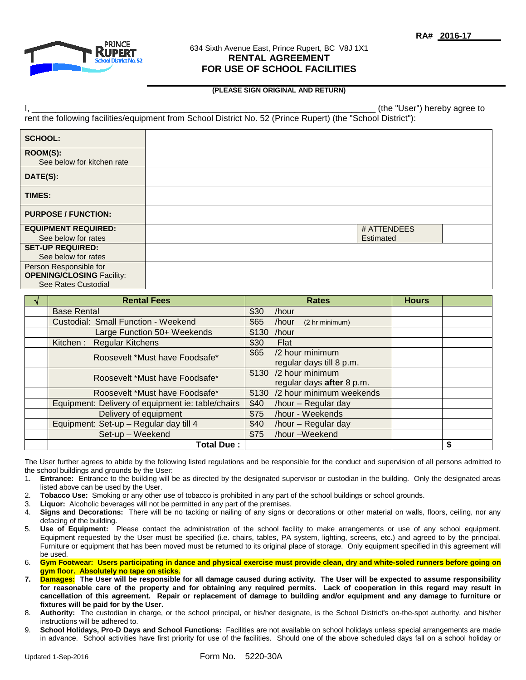

## 634 Sixth Avenue East, Prince Rupert, BC V8J 1X1 **RENTAL AGREEMENT FOR USE OF SCHOOL FACILITIES**

## **(PLEASE SIGN ORIGINAL AND RETURN)**

| "User")<br>(the<br>agree to<br>hereby<br>. . |
|----------------------------------------------|
|----------------------------------------------|

rent the following facilities/equipment from School District No. 52 (Prince Rupert) (the "School District"):

| <b>SCHOOL:</b>                         |             |  |
|----------------------------------------|-------------|--|
| ROOM(S):<br>See below for kitchen rate |             |  |
| DATE(S):                               |             |  |
| <b>TIMES:</b>                          |             |  |
| <b>PURPOSE / FUNCTION:</b>             |             |  |
| <b>EQUIPMENT REQUIRED:</b>             | # ATTENDEES |  |
| See below for rates                    | Estimated   |  |
| <b>SET-UP REQUIRED:</b>                |             |  |
| See below for rates                    |             |  |
| Person Responsible for                 |             |  |
| <b>OPENING/CLOSING Facility:</b>       |             |  |
| See Rates Custodial                    |             |  |

| <b>Rental Fees</b>                                | <b>Rates</b>                    | <b>Hours</b> |    |
|---------------------------------------------------|---------------------------------|--------------|----|
| <b>Base Rental</b>                                | \$30<br>/hour                   |              |    |
| Custodial: Small Function - Weekend               | \$65<br>/hour<br>(2 hr minimum) |              |    |
| Large Function 50+ Weekends                       | \$130<br>/hour                  |              |    |
| Kitchen: Regular Kitchens                         | \$30<br>Flat                    |              |    |
| Roosevelt *Must have Foodsafe*                    | /2 hour minimum<br>\$65         |              |    |
|                                                   | regular days till 8 p.m.        |              |    |
| Roosevelt *Must have Foodsafe*                    | \$130 /2 hour minimum           |              |    |
|                                                   | regular days after 8 p.m.       |              |    |
| Roosevelt *Must have Foodsafe*                    | \$130 /2 hour minimum weekends  |              |    |
| Equipment: Delivery of equipment ie: table/chairs | \$40<br>/hour - Regular day     |              |    |
| Delivery of equipment                             | \$75<br>/hour - Weekends        |              |    |
| Equipment: Set-up - Regular day till 4            | \$40<br>/hour - Regular day     |              |    |
| Set-up - Weekend                                  | /hour -Weekend<br>\$75          |              |    |
| <b>Total Due:</b>                                 |                                 |              | \$ |

The User further agrees to abide by the following listed regulations and be responsible for the conduct and supervision of all persons admitted to the school buildings and grounds by the User:

- 1. **Entrance:** Entrance to the building will be as directed by the designated supervisor or custodian in the building. Only the designated areas listed above can be used by the User.
- 2. **Tobacco Use:** Smoking or any other use of tobacco is prohibited in any part of the school buildings or school grounds.
- 3. **Liquor:** Alcoholic beverages will not be permitted in any part of the premises.
- 4. **Signs and Decorations:** There will be no tacking or nailing of any signs or decorations or other material on walls, floors, ceiling, nor any defacing of the building.
- 5. **Use of Equipment:** Please contact the administration of the school facility to make arrangements or use of any school equipment. Equipment requested by the User must be specified (i.e. chairs, tables, PA system, lighting, screens, etc.) and agreed to by the principal. Furniture or equipment that has been moved must be returned to its original place of storage. Only equipment specified in this agreement will be used.
- 6. **Gym Footwear: Users participating in dance and physical exercise must provide clean, dry and white-soled runners before going on gym floor. Absolutely no tape on sticks.**
- **7. Damages: The User will be responsible for all damage caused during activity. The User will be expected to assume responsibility for reasonable care of the property and for obtaining any required permits. Lack of cooperation in this regard may result in cancellation of this agreement. Repair or replacement of damage to building and/or equipment and any damage to furniture or fixtures will be paid for by the User.**
- 8. **Authority:** The custodian in charge, or the school principal, or his/her designate, is the School District's on-the-spot authority, and his/her instructions will be adhered to.
- 9. **School Holidays, Pro-D Days and School Functions:** Facilities are not available on school holidays unless special arrangements are made in advance. School activities have first priority for use of the facilities. Should one of the above scheduled days fall on a school holiday or